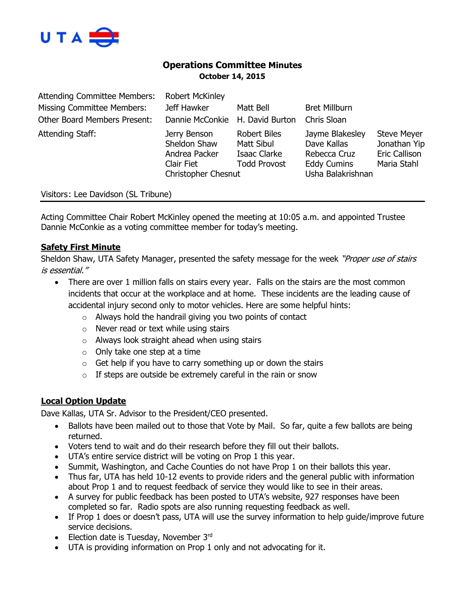

# **Operations Committee Minutes October 14, 2015**

| <b>Attending Committee Members:</b> | <b>Robert McKinley</b>                                                                    |                                                                          |                                                                                           |                                                                           |
|-------------------------------------|-------------------------------------------------------------------------------------------|--------------------------------------------------------------------------|-------------------------------------------------------------------------------------------|---------------------------------------------------------------------------|
| <b>Missing Committee Members:</b>   | Jeff Hawker                                                                               | Matt Bell                                                                | <b>Bret Millburn</b>                                                                      |                                                                           |
| <b>Other Board Members Present:</b> | Dannie McConkie H. David Burton                                                           |                                                                          | Chris Sloan                                                                               |                                                                           |
| Attending Staff:                    | Jerry Benson<br>Sheldon Shaw<br>Andrea Packer<br>Clair Fiet<br><b>Christopher Chesnut</b> | <b>Robert Biles</b><br>Matt Sibul<br>Isaac Clarke<br><b>Todd Provost</b> | Jayme Blakesley<br>Dave Kallas<br>Rebecca Cruz<br><b>Eddy Cumins</b><br>Usha Balakrishnan | <b>Steve Meyer</b><br>Jonathan Yip<br><b>Eric Callison</b><br>Maria Stahl |

Visitors: Lee Davidson (SL Tribune)

Acting Committee Chair Robert McKinley opened the meeting at 10:05 a.m. and appointed Trustee Dannie McConkie as a voting committee member for today's meeting.

### **Safety First Minute**

Sheldon Shaw, UTA Safety Manager, presented the safety message for the week "Proper use of stairs is essential."

- There are over 1 million falls on stairs every year. Falls on the stairs are the most common incidents that occur at the workplace and at home. These incidents are the leading cause of accidental injury second only to motor vehicles. Here are some helpful hints:
	- $\circ$  Always hold the handrail giving you two points of contact
	- o Never read or text while using stairs
	- o Always look straight ahead when using stairs
	- $\circ$  Only take one step at a time
	- $\circ$  Get help if you have to carry something up or down the stairs
	- $\circ$  If steps are outside be extremely careful in the rain or snow

# **Local Option Update**

Dave Kallas, UTA Sr. Advisor to the President/CEO presented.

- Ballots have been mailed out to those that Vote by Mail. So far, quite a few ballots are being returned.
- Voters tend to wait and do their research before they fill out their ballots.
- UTA's entire service district will be voting on Prop 1 this year.
- Summit, Washington, and Cache Counties do not have Prop 1 on their ballots this year.
- Thus far, UTA has held 10-12 events to provide riders and the general public with information about Prop 1 and to request feedback of service they would like to see in their areas.
- A survey for public feedback has been posted to UTA's website, 927 responses have been completed so far. Radio spots are also running requesting feedback as well.
- If Prop 1 does or doesn't pass, UTA will use the survey information to help guide/improve future service decisions.
- Election date is Tuesday, November  $3<sup>rd</sup>$
- UTA is providing information on Prop 1 only and not advocating for it.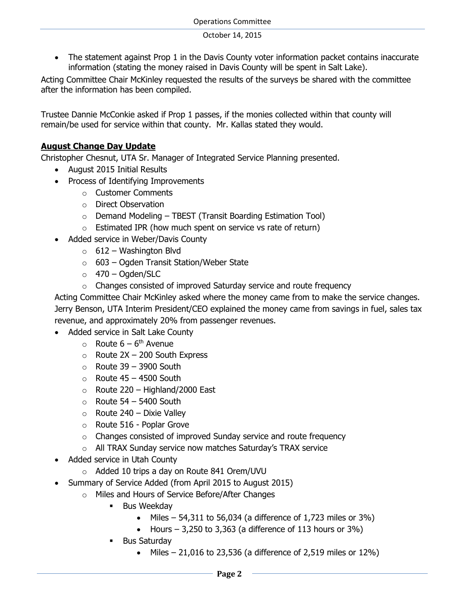• The statement against Prop 1 in the Davis County voter information packet contains inaccurate information (stating the money raised in Davis County will be spent in Salt Lake).

Acting Committee Chair McKinley requested the results of the surveys be shared with the committee after the information has been compiled.

Trustee Dannie McConkie asked if Prop 1 passes, if the monies collected within that county will remain/be used for service within that county. Mr. Kallas stated they would.

# **August Change Day Update**

Christopher Chesnut, UTA Sr. Manager of Integrated Service Planning presented.

- August 2015 Initial Results
- Process of Identifying Improvements
	- o Customer Comments
	- o Direct Observation
	- $\circ$  Demand Modeling TBEST (Transit Boarding Estimation Tool)
	- $\circ$  Estimated IPR (how much spent on service vs rate of return)
- Added service in Weber/Davis County
	- $\circ$  612 Washington Blvd
	- $\circ$  603 Ogden Transit Station/Weber State
	- $\circ$  470 Ogden/SLC
	- o Changes consisted of improved Saturday service and route frequency

Acting Committee Chair McKinley asked where the money came from to make the service changes. Jerry Benson, UTA Interim President/CEO explained the money came from savings in fuel, sales tax revenue, and approximately 20% from passenger revenues.

- Added service in Salt Lake County
	- $\circ$  Route  $6-6$ <sup>th</sup> Avenue
	- $\circ$  Route 2X 200 South Express
	- $\circ$  Route 39 3900 South
	- $\circ$  Route 45 4500 South
	- $\circ$  Route 220 Highland/2000 East
	- $\circ$  Route 54 5400 South
	- $\circ$  Route 240 Dixie Valley
	- o Route 516 Poplar Grove
	- o Changes consisted of improved Sunday service and route frequency
	- o All TRAX Sunday service now matches Saturday's TRAX service
- Added service in Utah County
	- o Added 10 trips a day on Route 841 Orem/UVU
- Summary of Service Added (from April 2015 to August 2015)
	- o Miles and Hours of Service Before/After Changes
		- **Bus Weekday** 
			- $\bullet$  Miles 54,311 to 56,034 (a difference of 1,723 miles or 3%)
			- Hours  $-3,250$  to 3,363 (a difference of 113 hours or 3%)
		- Bus Saturday
			- $\bullet$  Miles 21,016 to 23,536 (a difference of 2,519 miles or 12%)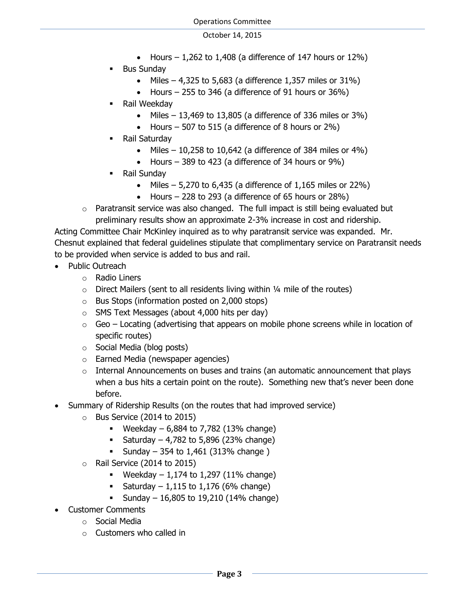- Hours  $-1,262$  to 1,408 (a difference of 147 hours or 12%)
- Bus Sunday
	- $\bullet$  Miles 4,325 to 5,683 (a difference 1,357 miles or 31%)
	- Hours  $-255$  to 346 (a difference of 91 hours or 36%)
- Rail Weekday
	- $\bullet$  Miles 13,469 to 13,805 (a difference of 336 miles or 3%)
	- Hours  $-507$  to 515 (a difference of 8 hours or 2%)
- Rail Saturday
	- $\bullet$  Miles 10,258 to 10,642 (a difference of 384 miles or 4%)
	- Hours  $-389$  to 423 (a difference of 34 hours or  $9\%$ )
- Rail Sunday
	- Miles  $-5,270$  to 6,435 (a difference of 1,165 miles or 22%)
	- Hours  $-228$  to 293 (a difference of 65 hours or 28%)
- o Paratransit service was also changed. The full impact is still being evaluated but preliminary results show an approximate 2-3% increase in cost and ridership.

Acting Committee Chair McKinley inquired as to why paratransit service was expanded. Mr. Chesnut explained that federal guidelines stipulate that complimentary service on Paratransit needs to be provided when service is added to bus and rail.

- Public Outreach
	- o Radio Liners
	- $\circ$  Direct Mailers (sent to all residents living within 1/4 mile of the routes)
	- o Bus Stops (information posted on 2,000 stops)
	- o SMS Text Messages (about 4,000 hits per day)
	- $\circ$  Geo Locating (advertising that appears on mobile phone screens while in location of specific routes)
	- o Social Media (blog posts)
	- o Earned Media (newspaper agencies)
	- $\circ$  Internal Announcements on buses and trains (an automatic announcement that plays when a bus hits a certain point on the route). Something new that's never been done before.
- Summary of Ridership Results (on the routes that had improved service)
	- o Bus Service (2014 to 2015)
		- **•** Weekday  $6,884$  to  $7,782$  (13% change)
		- **Saturday 4,782 to 5,896 (23% change)**
		- **Sunday** 354 to 1,461 (313\% change)
	- o Rail Service (2014 to 2015)
		- **•** Weekday  $-1,174$  to 1,297 (11% change)
		- Saturday 1,115 to 1,176 (6% change)
		- **Sunday 16,805 to 19,210 (14% change)**
- Customer Comments
	- o Social Media
		- $\circ$  Customers who called in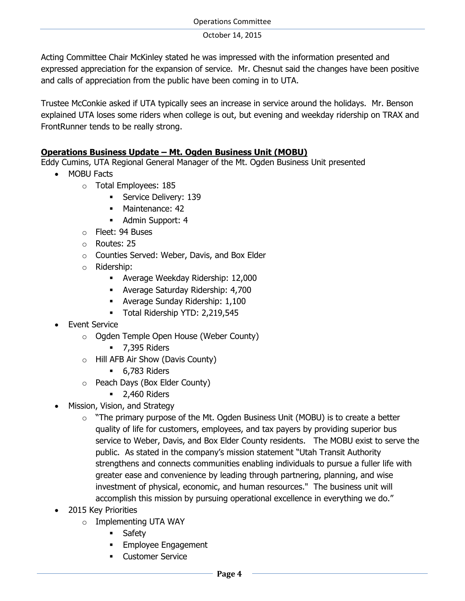Operations Committee

October 14, 2015

Acting Committee Chair McKinley stated he was impressed with the information presented and expressed appreciation for the expansion of service. Mr. Chesnut said the changes have been positive and calls of appreciation from the public have been coming in to UTA.

Trustee McConkie asked if UTA typically sees an increase in service around the holidays. Mr. Benson explained UTA loses some riders when college is out, but evening and weekday ridership on TRAX and FrontRunner tends to be really strong.

# **Operations Business Update – Mt. Ogden Business Unit (MOBU)**

Eddy Cumins, UTA Regional General Manager of the Mt. Ogden Business Unit presented

- MOBU Facts
	- o Total Employees: 185
		- **Service Delivery: 139**
		- Maintenance: 42
		- Admin Support: 4
	- o Fleet: 94 Buses
	- o Routes: 25
	- o Counties Served: Weber, Davis, and Box Elder
	- o Ridership:
		- Average Weekday Ridership: 12,000
		- Average Saturday Ridership: 4,700
		- Average Sunday Ridership: 1,100
		- Total Ridership YTD: 2,219,545
- Event Service
	- o Ogden Temple Open House (Weber County)
		- **•** 7,395 Riders
	- o Hill AFB Air Show (Davis County)
		- **6,783 Riders**
	- o Peach Days (Box Elder County)
		- **2,460 Riders**
- Mission, Vision, and Strategy
	- $\circ$  "The primary purpose of the Mt. Ogden Business Unit (MOBU) is to create a better quality of life for customers, employees, and tax payers by providing superior bus service to Weber, Davis, and Box Elder County residents. The MOBU exist to serve the public. As stated in the company's mission statement "Utah Transit Authority strengthens and connects communities enabling individuals to pursue a fuller life with greater ease and convenience by leading through partnering, planning, and wise investment of physical, economic, and human resources." The business unit will accomplish this mission by pursuing operational excellence in everything we do."
- 2015 Key Priorities
	- o Implementing UTA WAY
		- **Safety**
		- **Employee Engagement**
		- **Customer Service**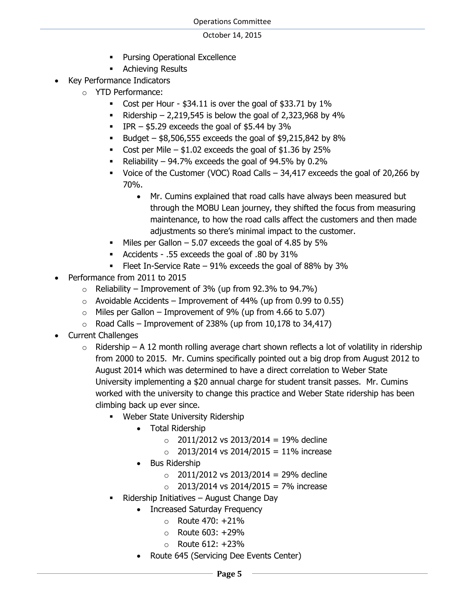- **Pursing Operational Excellence**
- **Achieving Results**
- Key Performance Indicators
	- o YTD Performance:
		- Cost per Hour  $$34.11$  is over the goal of  $$33.71$  by  $1\%$
		- Ridership 2,219,545 is below the goal of 2,323,968 by 4%
		- $IPR $5.29$  exceeds the goal of \$5.44 by 3%
		- Budget  $$8,506,555$  exceeds the goal of  $$9,215,842$  by  $8\%$
		- Cost per Mile  $$1.02$  exceeds the goal of  $$1.36$  by 25%
		- Reliability 94.7% exceeds the goal of 94.5% by 0.2%
		- Voice of the Customer (VOC) Road Calls 34,417 exceeds the goal of 20,266 by 70%.
			- Mr. Cumins explained that road calls have always been measured but through the MOBU Lean journey, they shifted the focus from measuring maintenance, to how the road calls affect the customers and then made adjustments so there's minimal impact to the customer.
		- $\blacksquare$  Miles per Gallon 5.07 exceeds the goal of 4.85 by 5%
		- Accidents .55 exceeds the goal of .80 by 31%
		- Fleet In-Service Rate  $-91\%$  exceeds the goal of 88% by 3%
- Performance from 2011 to 2015
	- $\circ$  Reliability Improvement of 3% (up from 92.3% to 94.7%)
	- $\circ$  Avoidable Accidents Improvement of 44% (up from 0.99 to 0.55)
	- $\circ$  Miles per Gallon Improvement of 9% (up from 4.66 to 5.07)
	- $\circ$  Road Calls Improvement of 238% (up from 10,178 to 34,417)
- Current Challenges
	- $\circ$  Ridership A 12 month rolling average chart shown reflects a lot of volatility in ridership from 2000 to 2015. Mr. Cumins specifically pointed out a big drop from August 2012 to August 2014 which was determined to have a direct correlation to Weber State University implementing a \$20 annual charge for student transit passes. Mr. Cumins worked with the university to change this practice and Weber State ridership has been climbing back up ever since.
		- **Weber State University Ridership** 
			- Total Ridership
				- $\circ$  2011/2012 vs 2013/2014 = 19% decline
				- $\circ$  2013/2014 vs 2014/2015 = 11% increase
			- Bus Ridership
				- $\degree$  2011/2012 vs 2013/2014 = 29% decline
				- $\circ$  2013/2014 vs 2014/2015 = 7% increase
		- Ridership Initiatives August Change Day
			- Increased Saturday Frequency
				- $\circ$  Route 470: +21%
				- $\circ$  Route 603: +29%
				- $\circ$  Route 612: +23%
			- Route 645 (Servicing Dee Events Center)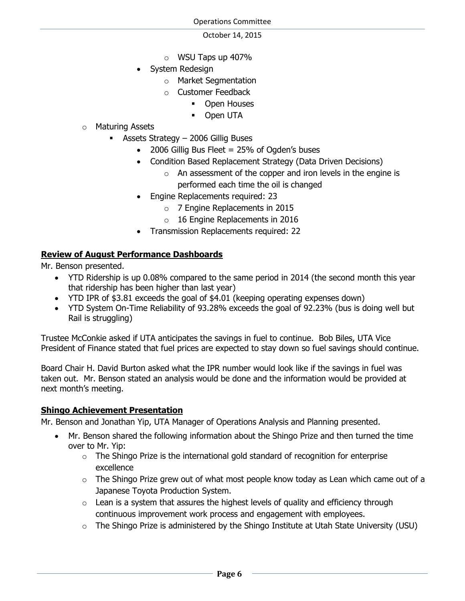- o WSU Taps up 407%
- System Redesign
	- o Market Segmentation
	- o Customer Feedback
		- **•** Open Houses
		- **Den UTA**
- o Maturing Assets
	- Assets Strategy 2006 Gillig Buses
		- 2006 Gillig Bus Fleet = 25% of Ogden's buses
		- Condition Based Replacement Strategy (Data Driven Decisions)
			- $\circ$  An assessment of the copper and iron levels in the engine is performed each time the oil is changed
		- Engine Replacements required: 23
			- o 7 Engine Replacements in 2015
			- $\circ$  16 Engine Replacements in 2016
		- Transmission Replacements required: 22

# **Review of August Performance Dashboards**

Mr. Benson presented.

- YTD Ridership is up 0.08% compared to the same period in 2014 (the second month this year that ridership has been higher than last year)
- YTD IPR of \$3.81 exceeds the goal of \$4.01 (keeping operating expenses down)
- YTD System On-Time Reliability of 93.28% exceeds the goal of 92.23% (bus is doing well but Rail is struggling)

Trustee McConkie asked if UTA anticipates the savings in fuel to continue. Bob Biles, UTA Vice President of Finance stated that fuel prices are expected to stay down so fuel savings should continue.

Board Chair H. David Burton asked what the IPR number would look like if the savings in fuel was taken out. Mr. Benson stated an analysis would be done and the information would be provided at next month's meeting.

# **Shingo Achievement Presentation**

Mr. Benson and Jonathan Yip, UTA Manager of Operations Analysis and Planning presented.

- Mr. Benson shared the following information about the Shingo Prize and then turned the time over to Mr. Yip:
	- $\circ$  The Shingo Prize is the international gold standard of recognition for enterprise excellence
	- $\circ$  The Shingo Prize grew out of what most people know today as Lean which came out of a Japanese Toyota Production System.
	- $\circ$  Lean is a system that assures the highest levels of quality and efficiency through continuous improvement work process and engagement with employees.
	- $\circ$  The Shingo Prize is administered by the Shingo Institute at Utah State University (USU)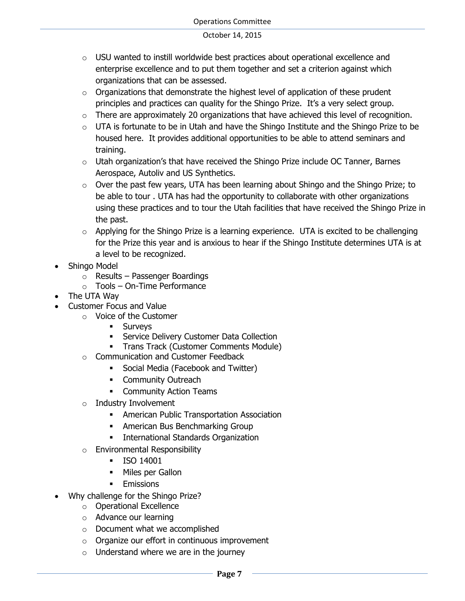- $\circ$  USU wanted to instill worldwide best practices about operational excellence and enterprise excellence and to put them together and set a criterion against which organizations that can be assessed.
- $\circ$  Organizations that demonstrate the highest level of application of these prudent principles and practices can quality for the Shingo Prize. It's a very select group.
- $\circ$  There are approximately 20 organizations that have achieved this level of recognition.
- $\circ$  UTA is fortunate to be in Utah and have the Shingo Institute and the Shingo Prize to be housed here. It provides additional opportunities to be able to attend seminars and training.
- $\circ$  Utah organization's that have received the Shingo Prize include OC Tanner, Barnes Aerospace, Autoliv and US Synthetics.
- $\circ$  Over the past few years, UTA has been learning about Shingo and the Shingo Prize; to be able to tour . UTA has had the opportunity to collaborate with other organizations using these practices and to tour the Utah facilities that have received the Shingo Prize in the past.
- $\circ$  Applying for the Shingo Prize is a learning experience. UTA is excited to be challenging for the Prize this year and is anxious to hear if the Shingo Institute determines UTA is at a level to be recognized.
- Shingo Model
	- o Results Passenger Boardings
	- o Tools On-Time Performance
- The UTA Way
- Customer Focus and Value
	- o Voice of the Customer
		- **Surveys**
		- **Service Delivery Customer Data Collection**
		- **Trans Track (Customer Comments Module)**
	- o Communication and Customer Feedback
		- **Social Media (Facebook and Twitter)**
		- **•** Community Outreach
		- **•** Community Action Teams
	- o Industry Involvement
		- American Public Transportation Association
		- **American Bus Benchmarking Group**
		- **International Standards Organization**
	- o Environmental Responsibility
		- **ISO 14001**
		- Miles per Gallon
		- **Emissions**
- Why challenge for the Shingo Prize?
	- o Operational Excellence
	- o Advance our learning
	- o Document what we accomplished
	- o Organize our effort in continuous improvement
	- $\circ$  Understand where we are in the journey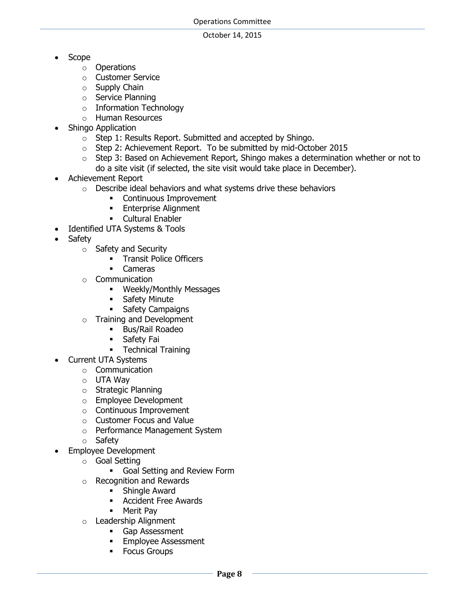- Scope
	- o Operations
	- o Customer Service
	- o Supply Chain
	- o Service Planning
	- o Information Technology
	- o Human Resources
- Shingo Application
	- o Step 1: Results Report. Submitted and accepted by Shingo.
	- o Step 2: Achievement Report. To be submitted by mid-October 2015
	- $\circ$  Step 3: Based on Achievement Report, Shingo makes a determination whether or not to do a site visit (if selected, the site visit would take place in December).
- Achievement Report
	- o Describe ideal behaviors and what systems drive these behaviors
		- **•** Continuous Improvement
		- **Enterprise Alignment**
		- **-** Cultural Enabler
- Identified UTA Systems & Tools
- Safety
	- o Safety and Security
		- **Transit Police Officers**
		- Cameras
	- o Communication
		- **Weekly/Monthly Messages**
		- **Safety Minute**
		- **Safety Campaigns**
	- o Training and Development
		- **Bus/Rail Roadeo**
		- **Safety Fai**
		- Technical Training
- Current UTA Systems
	- o Communication
	- o UTA Way
	- o Strategic Planning
	- o Employee Development
	- o Continuous Improvement
	- o Customer Focus and Value
	- o Performance Management System
	- o Safety
- Employee Development
	- o Goal Setting
		- **Goal Setting and Review Form**
	- o Recognition and Rewards
		- **Shingle Award**
		- Accident Free Awards
		- **•** Merit Pav
	- o Leadership Alignment
		- Gap Assessment
		- **Employee Assessment**
		- **Focus Groups**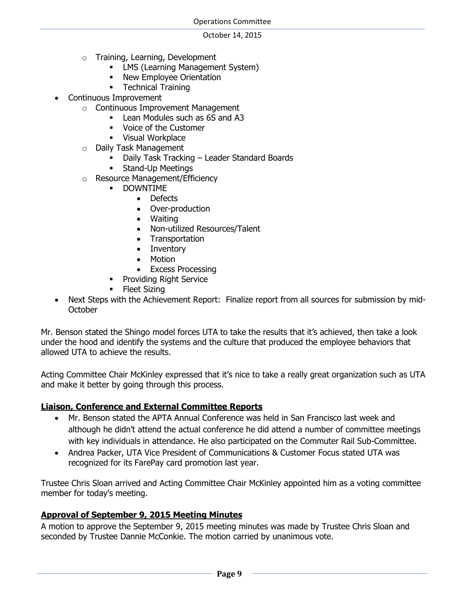- o Training, Learning, Development
	- **-** LMS (Learning Management System)
	- New Employee Orientation
	- **Technical Training**
- Continuous Improvement
	- o Continuous Improvement Management
		- **Lean Modules such as 6S and A3**
		- **•** Voice of the Customer
		- **Visual Workplace**
		- o Daily Task Management
			- Daily Task Tracking Leader Standard Boards
			- **Stand-Up Meetings**
		- o Resource Management/Efficiency
			- **-** DOWNTIME
				- Defects
				- Over-production
				- Waiting
				- Non-utilized Resources/Talent
				- Transportation
				- Inventory
				- Motion
				- Excess Processing
			- **Providing Right Service**
			- Fleet Sizing
- Next Steps with the Achievement Report: Finalize report from all sources for submission by mid-**October**

Mr. Benson stated the Shingo model forces UTA to take the results that it's achieved, then take a look under the hood and identify the systems and the culture that produced the employee behaviors that allowed UTA to achieve the results.

Acting Committee Chair McKinley expressed that it's nice to take a really great organization such as UTA and make it better by going through this process.

### **Liaison, Conference and External Committee Reports**

- Mr. Benson stated the APTA Annual Conference was held in San Francisco last week and although he didn't attend the actual conference he did attend a number of committee meetings with key individuals in attendance. He also participated on the Commuter Rail Sub-Committee.
- Andrea Packer, UTA Vice President of Communications & Customer Focus stated UTA was recognized for its FarePay card promotion last year.

Trustee Chris Sloan arrived and Acting Committee Chair McKinley appointed him as a voting committee member for today's meeting.

# **Approval of September 9, 2015 Meeting Minutes**

A motion to approve the September 9, 2015 meeting minutes was made by Trustee Chris Sloan and seconded by Trustee Dannie McConkie. The motion carried by unanimous vote.